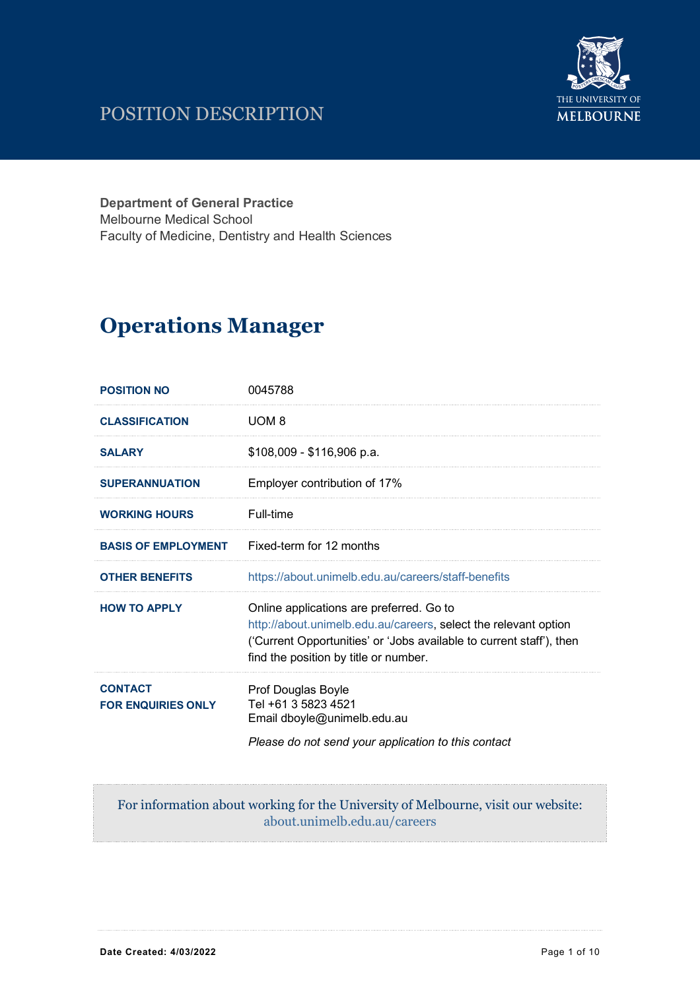## POSITION DESCRIPTION



**Department of General Practice** Melbourne Medical School Faculty of Medicine, Dentistry and Health Sciences

# **Operations Manager**

| <b>POSITION NO</b>                                                                | 0045788                                                                                                                                                                                                                      |
|-----------------------------------------------------------------------------------|------------------------------------------------------------------------------------------------------------------------------------------------------------------------------------------------------------------------------|
| <b>CLASSIFICATION</b>                                                             | UOM <sub>8</sub>                                                                                                                                                                                                             |
| <b>SALARY</b>                                                                     | \$108,009 - \$116,906 p.a.                                                                                                                                                                                                   |
| <b>SUPERANNUATION</b>                                                             | Employer contribution of 17%                                                                                                                                                                                                 |
| <b>WORKING HOURS</b>                                                              | Full-time                                                                                                                                                                                                                    |
| <b>BASIS OF EMPLOYMENT</b>                                                        | Fixed-term for 12 months                                                                                                                                                                                                     |
| <b>OTHER BENEFITS</b>                                                             | https://about.unimelb.edu.au/careers/staff-benefits                                                                                                                                                                          |
| <b>HOW TO APPLY</b>                                                               | Online applications are preferred. Go to<br>http://about.unimelb.edu.au/careers, select the relevant option<br>('Current Opportunities' or 'Jobs available to current staff'), then<br>find the position by title or number. |
| <b>CONTACT</b><br><b>FOR ENQUIRIES ONLY</b>                                       | Prof Douglas Boyle<br>Tel +61 3 5823 4521<br>Email dboyle@unimelb.edu.au<br>Please do not send your application to this contact                                                                                              |
| For information about working for the University of Melbourne, visit our website: |                                                                                                                                                                                                                              |

about.unimelb.edu.au/careers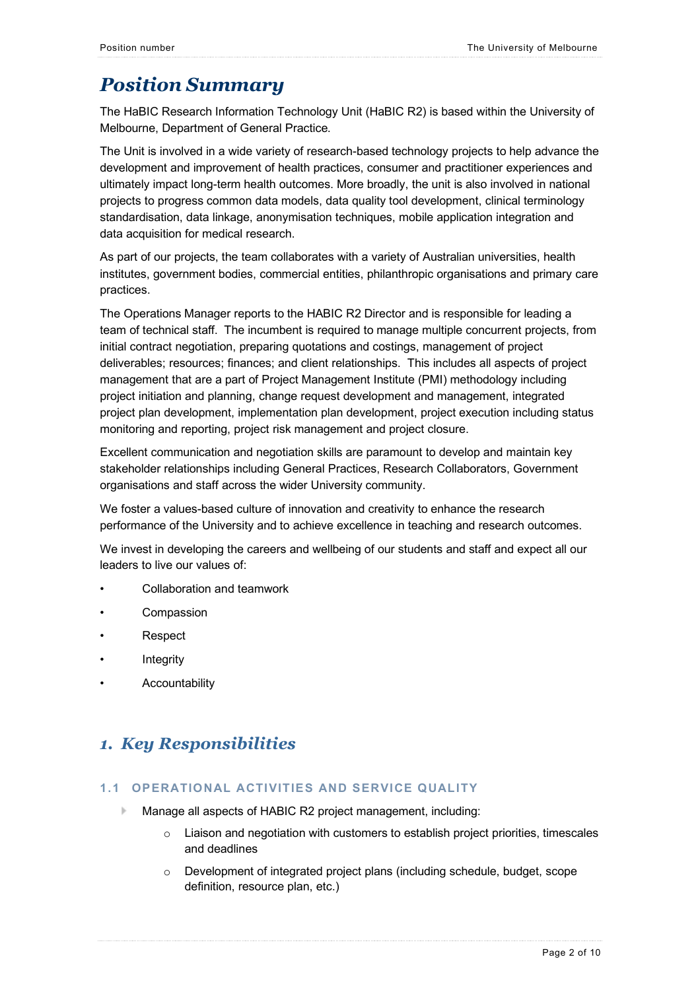### *Position Summary*

The HaBIC Research Information Technology Unit (HaBIC R2) is based within the University of Melbourne, Department of General Practice.

The Unit is involved in a wide variety of research-based technology projects to help advance the development and improvement of health practices, consumer and practitioner experiences and ultimately impact long-term health outcomes. More broadly, the unit is also involved in national projects to progress common data models, data quality tool development, clinical terminology standardisation, data linkage, anonymisation techniques, mobile application integration and data acquisition for medical research.

As part of our projects, the team collaborates with a variety of Australian universities, health institutes, government bodies, commercial entities, philanthropic organisations and primary care practices.

The Operations Manager reports to the HABIC R2 Director and is responsible for leading a team of technical staff. The incumbent is required to manage multiple concurrent projects, from initial contract negotiation, preparing quotations and costings, management of project deliverables; resources; finances; and client relationships. This includes all aspects of project management that are a part of Project Management Institute (PMI) methodology including project initiation and planning, change request development and management, integrated project plan development, implementation plan development, project execution including status monitoring and reporting, project risk management and project closure.

Excellent communication and negotiation skills are paramount to develop and maintain key stakeholder relationships including General Practices, Research Collaborators, Government organisations and staff across the wider University community.

We foster a values-based culture of innovation and creativity to enhance the research performance of the University and to achieve excellence in teaching and research outcomes.

We invest in developing the careers and wellbeing of our students and staff and expect all our leaders to live our values of:

- Collaboration and teamwork
- **Compassion**
- **Respect**
- **Integrity**
- **Accountability**

### *1. Key Responsibilities*

#### **1.1 OPERATIONAL ACTIVITIES AND SERVICE QUALITY**

- b. Manage all aspects of HABIC R2 project management, including:
	- $\circ$  Liaison and negotiation with customers to establish project priorities, timescales and deadlines
	- $\circ$  Development of integrated project plans (including schedule, budget, scope definition, resource plan, etc.)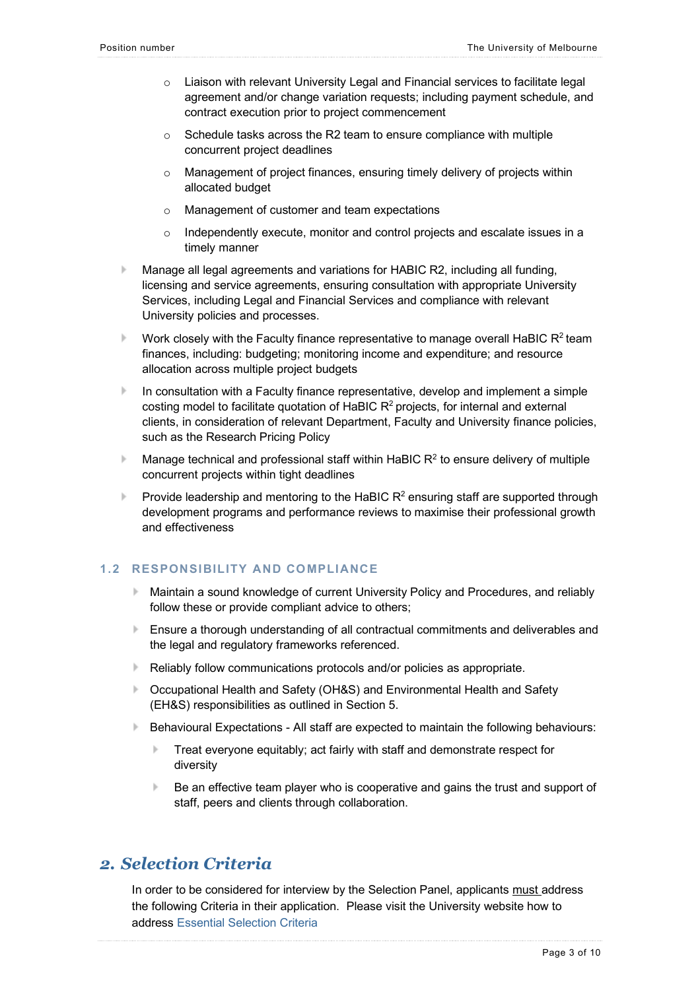- $\circ$  Liaison with relevant University Legal and Financial services to facilitate legal agreement and/or change variation requests; including payment schedule, and contract execution prior to project commencement
- o Schedule tasks across the R2 team to ensure compliance with multiple concurrent project deadlines
- o Management of project finances, ensuring timely delivery of projects within allocated budget
- o Management of customer and team expectations
- $\circ$  Independently execute, monitor and control projects and escalate issues in a timely manner
- Manage all legal agreements and variations for HABIC R2, including all funding, licensing and service agreements, ensuring consultation with appropriate University Services, including Legal and Financial Services and compliance with relevant University policies and processes.
- Work closely with the Faculty finance representative to manage overall HaBIC  $R<sup>2</sup>$  team finances, including: budgeting; monitoring income and expenditure; and resource allocation across multiple project budgets
- b. In consultation with a Faculty finance representative, develop and implement a simple costing model to facilitate quotation of HaBIC  $R<sup>2</sup>$  projects, for internal and external clients, in consideration of relevant Department, Faculty and University finance policies, such as the Research Pricing Policy
- Manage technical and professional staff within HaBIC  $R^2$  to ensure delivery of multiple b. concurrent projects within tight deadlines
- **Provide leadership and mentoring to the HaBIC R<sup>2</sup> ensuring staff are supported through** development programs and performance reviews to maximise their professional growth and effectiveness

### **1.2 RESPONSIBILITY AND COMPLIANCE**

- Maintain a sound knowledge of current University Policy and Procedures, and reliably follow these or provide compliant advice to others;
- Ensure a thorough understanding of all contractual commitments and deliverables and the legal and regulatory frameworks referenced.
- Reliably follow communications protocols and/or policies as appropriate.
- Occupational Health and Safety (OH&S) and Environmental Health and Safety (EH&S) responsibilities as outlined in Section 5.
- Behavioural Expectations All staff are expected to maintain the following behaviours:
	- b. Treat everyone equitably; act fairly with staff and demonstrate respect for diversity
	- b. Be an effective team player who is cooperative and gains the trust and support of staff, peers and clients through collaboration.

### *2. Selection Criteria*

In order to be considered for interview by the Selection Panel, applicants must address the following Criteria in their application. Please visit the University website how to address Essential Selection Criteria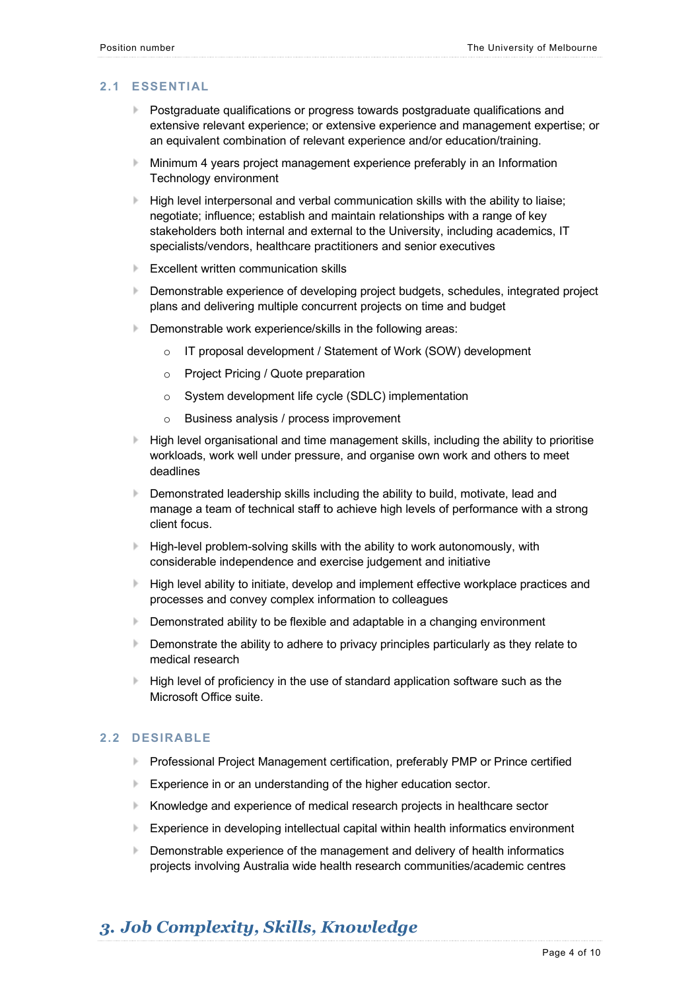### **2.1 ESSENTIAL**

- Postgraduate qualifications or progress towards postgraduate qualifications and extensive relevant experience; or extensive experience and management expertise; or an equivalent combination of relevant experience and/or education/training.
- Minimum 4 years project management experience preferably in an Information Technology environment
- $\blacktriangleright$  High level interpersonal and verbal communication skills with the ability to liaise; negotiate; influence; establish and maintain relationships with a range of key stakeholders both internal and external to the University, including academics, IT specialists/vendors, healthcare practitioners and senior executives
- **Excellent written communication skills**
- **Demonstrable experience of developing project budgets, schedules, integrated project** plans and delivering multiple concurrent projects on time and budget
- Demonstrable work experience/skills in the following areas:
	- o IT proposal development / Statement of Work (SOW) development
	- o Project Pricing / Quote preparation
	- o System development life cycle (SDLC) implementation
	- o Business analysis / process improvement
- $\blacktriangleright$  High level organisational and time management skills, including the ability to prioritise workloads, work well under pressure, and organise own work and others to meet deadlines
- **Demonstrated leadership skills including the ability to build, motivate, lead and** manage a team of technical staff to achieve high levels of performance with a strong client focus.
- High-level problem-solving skills with the ability to work autonomously, with considerable independence and exercise judgement and initiative
- High level ability to initiate, develop and implement effective workplace practices and processes and convey complex information to colleagues
- **Demonstrated ability to be flexible and adaptable in a changing environment**
- Demonstrate the ability to adhere to privacy principles particularly as they relate to b. medical research
- $\blacktriangleright$  High level of proficiency in the use of standard application software such as the Microsoft Office suite.

### **2.2 DESIRABLE**

- **Professional Project Management certification, preferably PMP or Prince certified**
- **Experience in or an understanding of the higher education sector.**
- Knowledge and experience of medical research projects in healthcare sector
- Experience in developing intellectual capital within health informatics environment b.
- Demonstrable experience of the management and delivery of health informatics projects involving Australia wide health research communities/academic centres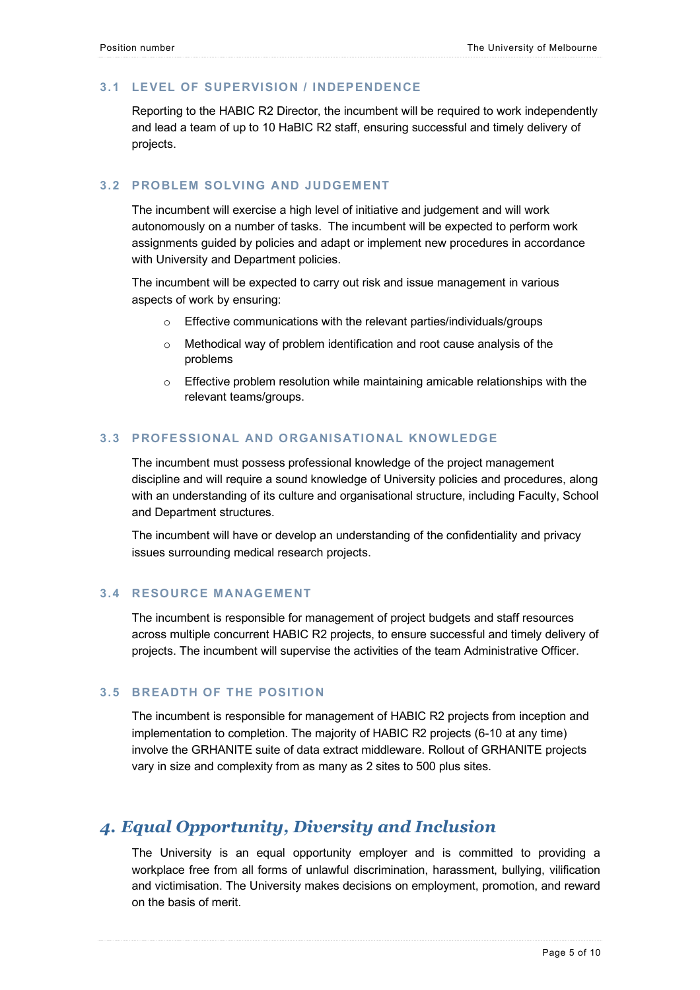### **3.1 LEVEL OF SUPERVISION / INDEPENDENCE**

Reporting to the HABIC R2 Director, the incumbent will be required to work independently and lead a team of up to 10 HaBIC R2 staff, ensuring successful and timely delivery of projects.

### **3.2 PROBLEM SOLVING AND JUDGEMENT**

The incumbent will exercise a high level of initiative and judgement and will work autonomously on a number of tasks. The incumbent will be expected to perform work assignments guided by policies and adapt or implement new procedures in accordance with University and Department policies.

The incumbent will be expected to carry out risk and issue management in various aspects of work by ensuring:

- o Effective communications with the relevant parties/individuals/groups
- o Methodical way of problem identification and root cause analysis of the problems
- $\circ$  Effective problem resolution while maintaining amicable relationships with the relevant teams/groups.

### **3.3 PROFESSIONAL AND ORGANISATIONAL KNOWLEDGE**

The incumbent must possess professional knowledge of the project management discipline and will require a sound knowledge of University policies and procedures, along with an understanding of its culture and organisational structure, including Faculty, School and Department structures.

The incumbent will have or develop an understanding of the confidentiality and privacy issues surrounding medical research projects.

### **3.4 RESOURCE MANAGEMENT**

The incumbent is responsible for management of project budgets and staff resources across multiple concurrent HABIC R2 projects, to ensure successful and timely delivery of projects. The incumbent will supervise the activities of the team Administrative Officer.

### **3.5 BREADTH OF THE POSITION**

The incumbent is responsible for management of HABIC R2 projects from inception and implementation to completion. The majority of HABIC R2 projects (6-10 at any time) involve the GRHANITE suite of data extract middleware. Rollout of GRHANITE projects vary in size and complexity from as many as 2 sites to 500 plus sites.

### *4. Equal Opportunity, Diversity and Inclusion*

The University is an equal opportunity employer and is committed to providing a workplace free from all forms of unlawful discrimination, harassment, bullying, vilification and victimisation. The University makes decisions on employment, promotion, and reward on the basis of merit.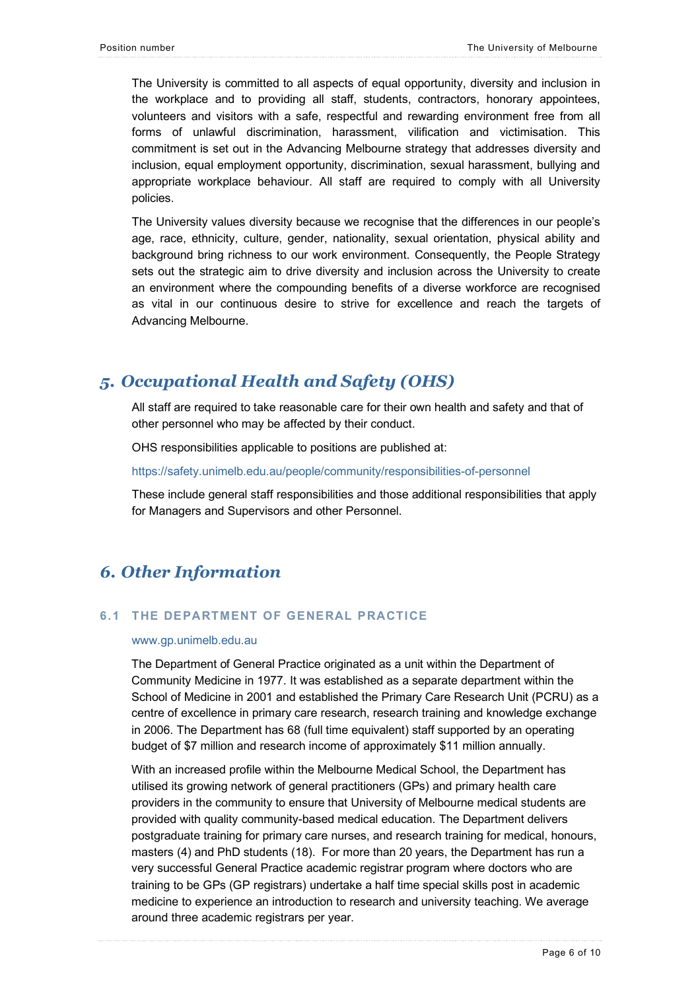The University is committed to all aspects of equal opportunity, diversity and inclusion in the workplace and to providing all staff, students, contractors, honorary appointees, volunteers and visitors with a safe, respectful and rewarding environment free from all forms of unlawful discrimination, harassment, vilification and victimisation. This commitment is set out in the Advancing Melbourne strategy that addresses diversity and inclusion, equal employment opportunity, discrimination, sexual harassment, bullying and appropriate workplace behaviour. All staff are required to comply with all University policies.

The University values diversity because we recognise that the differences in our people's age, race, ethnicity, culture, gender, nationality, sexual orientation, physical ability and background bring richness to our work environment. Consequently, the People Strategy sets out the strategic aim to drive diversity and inclusion across the University to create an environment where the compounding benefits of a diverse workforce are recognised as vital in our continuous desire to strive for excellence and reach the targets of Advancing Melbourne.

### *5. Occupational Health and Safety (OHS)*

All staff are required to take reasonable care for their own health and safety and that of other personnel who may be affected by their conduct.

OHS responsibilities applicable to positions are published at:

https://safety.unimelb.edu.au/people/community/responsibilities-of-personnel

These include general staff responsibilities and those additional responsibilities that apply for Managers and Supervisors and other Personnel.

### *6. Other Information*

### **6.1 THE DEPARTMENT OF GENERAL PRACTICE**

#### www.gp.unimelb.edu.au

The Department of General Practice originated as a unit within the Department of Community Medicine in 1977. It was established as a separate department within the School of Medicine in 2001 and established the Primary Care Research Unit (PCRU) as a centre of excellence in primary care research, research training and knowledge exchange in 2006. The Department has 68 (full time equivalent) staff supported by an operating budget of \$7 million and research income of approximately \$11 million annually.

With an increased profile within the Melbourne Medical School, the Department has utilised its growing network of general practitioners (GPs) and primary health care providers in the community to ensure that University of Melbourne medical students are provided with quality community-based medical education. The Department delivers postgraduate training for primary care nurses, and research training for medical, honours, masters (4) and PhD students (18). For more than 20 years, the Department has run a very successful General Practice academic registrar program where doctors who are training to be GPs (GP registrars) undertake a half time special skills post in academic medicine to experience an introduction to research and university teaching. We average around three academic registrars per year.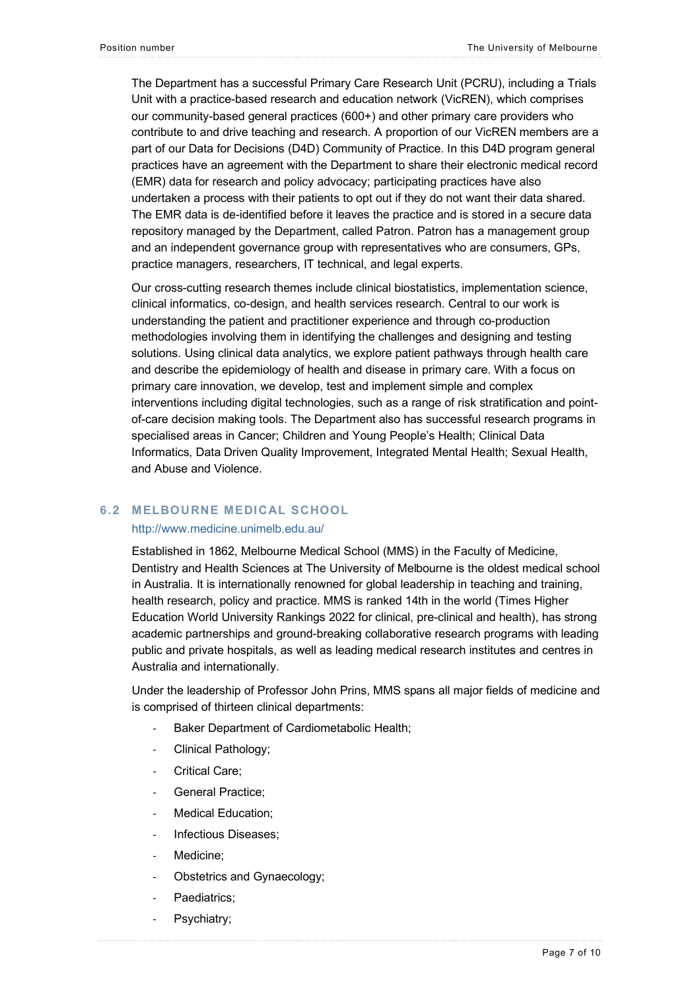The Department has a successful Primary Care Research Unit (PCRU), including a Trials Unit with a practice-based research and education network (VicREN), which comprises our community-based general practices (600+) and other primary care providers who contribute to and drive teaching and research. A proportion of our VicREN members are a part of our Data for Decisions (D4D) Community of Practice. In this D4D program general practices have an agreement with the Department to share their electronic medical record (EMR) data for research and policy advocacy; participating practices have also undertaken a process with their patients to opt out if they do not want their data shared. The EMR data is de-identified before it leaves the practice and is stored in a secure data repository managed by the Department, called Patron. Patron has a management group and an independent governance group with representatives who are consumers, GPs, practice managers, researchers, IT technical, and legal experts.

Our cross-cutting research themes include clinical biostatistics, implementation science, clinical informatics, co-design, and health services research. Central to our work is understanding the patient and practitioner experience and through co-production methodologies involving them in identifying the challenges and designing and testing solutions. Using clinical data analytics, we explore patient pathways through health care and describe the epidemiology of health and disease in primary care. With a focus on primary care innovation, we develop, test and implement simple and complex interventions including digital technologies, such as a range of risk stratification and pointof-care decision making tools. The Department also has successful research programs in specialised areas in Cancer; Children and Young People's Health; Clinical Data Informatics, Data Driven Quality Improvement, Integrated Mental Health; Sexual Health, and Abuse and Violence.

### **6.2 MELBOURNE MEDICAL SCHOOL**

#### http://www.medicine.unimelb.edu.au/

Established in 1862, Melbourne Medical School (MMS) in the Faculty of Medicine, Dentistry and Health Sciences at The University of Melbourne is the oldest medical school in Australia. It is internationally renowned for global leadership in teaching and training, health research, policy and practice. MMS is ranked 14th in the world (Times Higher Education World University Rankings 2022 for clinical, pre-clinical and health), has strong academic partnerships and ground-breaking collaborative research programs with leading public and private hospitals, as well as leading medical research institutes and centres in Australia and internationally.

Under the leadership of Professor John Prins, MMS spans all major fields of medicine and is comprised of thirteen clinical departments:

- Baker Department of Cardiometabolic Health;
- Clinical Pathology;
- Critical Care;
- General Practice;
- Medical Education;
- Infectious Diseases:
- Medicine:
- Obstetrics and Gynaecology;
- Paediatrics:
- Psychiatry;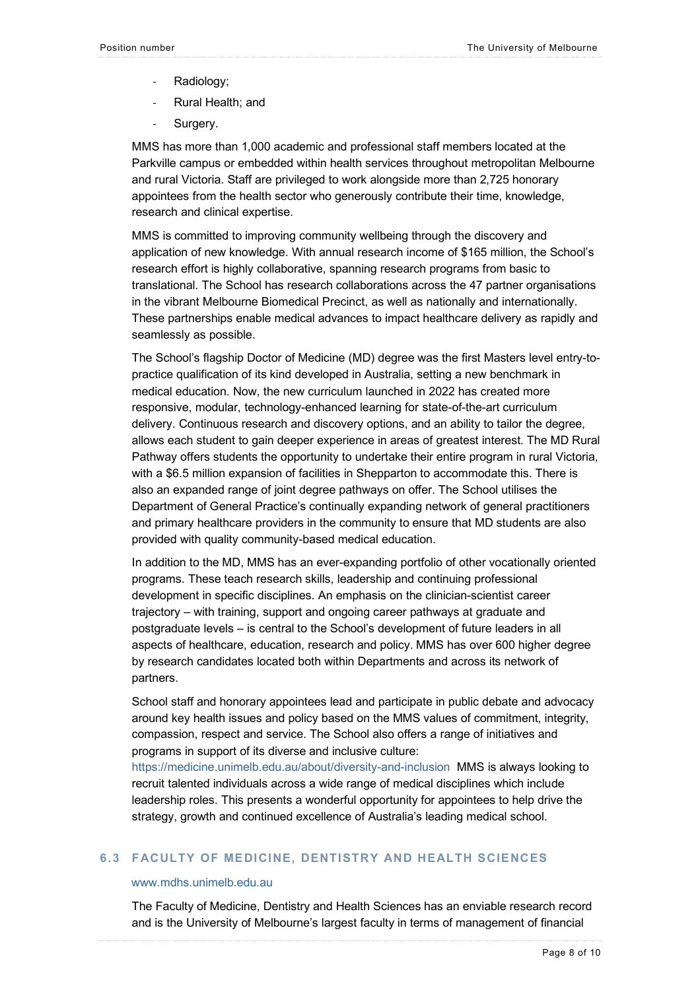- Radiology;
- Rural Health; and
- Surgery.

MMS has more than 1,000 academic and professional staff members located at the Parkville campus or embedded within health services throughout metropolitan Melbourne and rural Victoria. Staff are privileged to work alongside more than 2,725 honorary appointees from the health sector who generously contribute their time, knowledge, research and clinical expertise.

MMS is committed to improving community wellbeing through the discovery and application of new knowledge. With annual research income of \$165 million, the School's research effort is highly collaborative, spanning research programs from basic to translational. The School has research collaborations across the 47 partner organisations in the vibrant Melbourne Biomedical Precinct, as well as nationally and internationally. These partnerships enable medical advances to impact healthcare delivery as rapidly and seamlessly as possible.

The School's flagship Doctor of Medicine (MD) degree was the first Masters level entry-topractice qualification of its kind developed in Australia, setting a new benchmark in medical education. Now, the new curriculum launched in 2022 has created more responsive, modular, technology-enhanced learning for state-of-the-art curriculum delivery. Continuous research and discovery options, and an ability to tailor the degree, allows each student to gain deeper experience in areas of greatest interest. The MD Rural Pathway offers students the opportunity to undertake their entire program in rural Victoria, with a \$6.5 million expansion of facilities in Shepparton to accommodate this. There is also an expanded range of joint degree pathways on offer. The School utilises the Department of General Practice's continually expanding network of general practitioners and primary healthcare providers in the community to ensure that MD students are also provided with quality community-based medical education.

In addition to the MD, MMS has an ever-expanding portfolio of other vocationally oriented programs. These teach research skills, leadership and continuing professional development in specific disciplines. An emphasis on the clinician-scientist career trajectory – with training, support and ongoing career pathways at graduate and postgraduate levels – is central to the School's development of future leaders in all aspects of healthcare, education, research and policy. MMS has over 600 higher degree by research candidates located both within Departments and across its network of partners.

School staff and honorary appointees lead and participate in public debate and advocacy around key health issues and policy based on the MMS values of commitment, integrity, compassion, respect and service. The School also offers a range of initiatives and programs in support of its diverse and inclusive culture:

https://medicine.unimelb.edu.au/about/diversity-and-inclusion MMS is always looking to recruit talented individuals across a wide range of medical disciplines which include leadership roles. This presents a wonderful opportunity for appointees to help drive the strategy, growth and continued excellence of Australia's leading medical school.

### **6.3 FACULTY OF MEDICINE, DENTISTRY AND HEALTH SCIENCES**

### www.mdhs.unimelb.edu.au

The Faculty of Medicine, Dentistry and Health Sciences has an enviable research record and is the University of Melbourne's largest faculty in terms of management of financial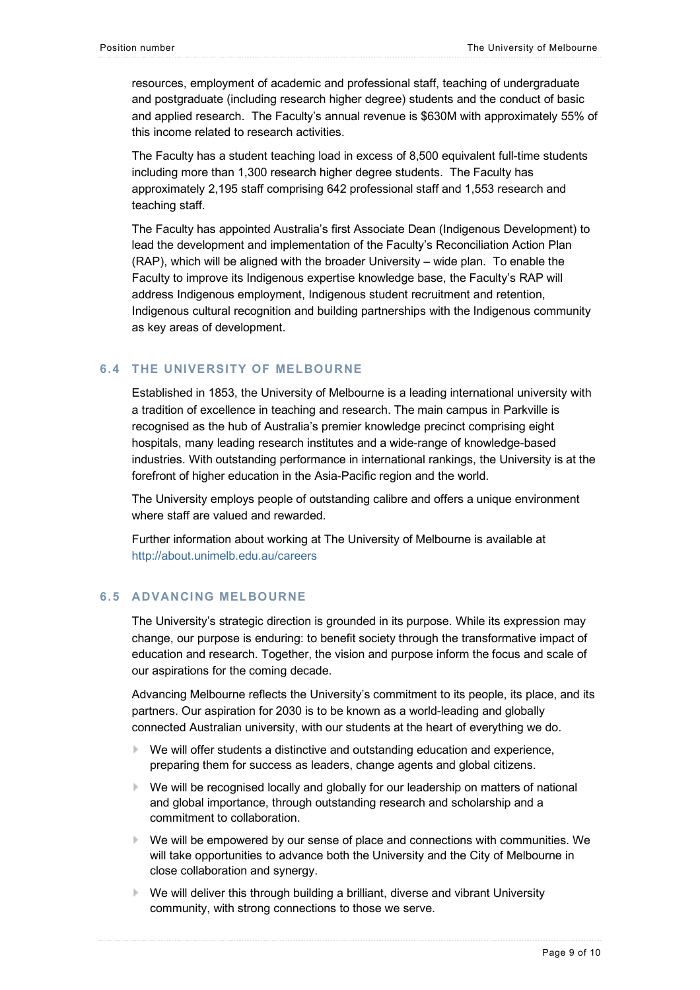resources, employment of academic and professional staff, teaching of undergraduate and postgraduate (including research higher degree) students and the conduct of basic and applied research. The Faculty's annual revenue is \$630M with approximately 55% of this income related to research activities.

The Faculty has a student teaching load in excess of 8,500 equivalent full-time students including more than 1,300 research higher degree students. The Faculty has approximately 2,195 staff comprising 642 professional staff and 1,553 research and teaching staff.

The Faculty has appointed Australia's first Associate Dean (Indigenous Development) to lead the development and implementation of the Faculty's Reconciliation Action Plan (RAP), which will be aligned with the broader University – wide plan. To enable the Faculty to improve its Indigenous expertise knowledge base, the Faculty's RAP will address Indigenous employment, Indigenous student recruitment and retention, Indigenous cultural recognition and building partnerships with the Indigenous community as key areas of development.

### **6.4 THE UNIVERSITY OF MELBOURNE**

Established in 1853, the University of Melbourne is a leading international university with a tradition of excellence in teaching and research. The main campus in Parkville is recognised as the hub of Australia's premier knowledge precinct comprising eight hospitals, many leading research institutes and a wide-range of knowledge-based industries. With outstanding performance in international rankings, the University is at the forefront of higher education in the Asia-Pacific region and the world.

The University employs people of outstanding calibre and offers a unique environment where staff are valued and rewarded.

Further information about working at The University of Melbourne is available at http://about.unimelb.edu.au/careers

### **6.5 ADVANCING MELBOURNE**

The University's strategic direction is grounded in its purpose. While its expression may change, our purpose is enduring: to benefit society through the transformative impact of education and research. Together, the vision and purpose inform the focus and scale of our aspirations for the coming decade.

Advancing Melbourne reflects the University's commitment to its people, its place, and its partners. Our aspiration for 2030 is to be known as a world-leading and globally connected Australian university, with our students at the heart of everything we do.

- We will offer students a distinctive and outstanding education and experience, preparing them for success as leaders, change agents and global citizens.
- We will be recognised locally and globally for our leadership on matters of national and global importance, through outstanding research and scholarship and a commitment to collaboration.
- We will be empowered by our sense of place and connections with communities. We will take opportunities to advance both the University and the City of Melbourne in close collaboration and synergy.
- We will deliver this through building a brilliant, diverse and vibrant University community, with strong connections to those we serve.